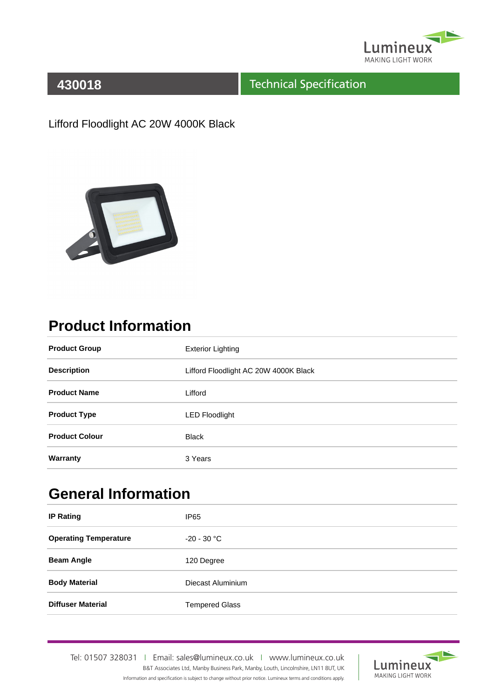

#### Technical Specification

Lifford Floodlight AC 20W 4000K Black



# **Product Information**

| <b>Product Group</b>  | <b>Exterior Lighting</b>              |
|-----------------------|---------------------------------------|
| <b>Description</b>    | Lifford Floodlight AC 20W 4000K Black |
| <b>Product Name</b>   | Lifford                               |
| <b>Product Type</b>   | <b>LED Floodlight</b>                 |
| <b>Product Colour</b> | <b>Black</b>                          |
| Warranty              | 3 Years                               |

# **General Information**

| <b>IP Rating</b>             | IP <sub>65</sub>      |
|------------------------------|-----------------------|
| <b>Operating Temperature</b> | $-20 - 30 °C$         |
| <b>Beam Angle</b>            | 120 Degree            |
| <b>Body Material</b>         | Diecast Aluminium     |
| <b>Diffuser Material</b>     | <b>Tempered Glass</b> |

Tel: 01507 328031IEmail: sales@lumineux.co.ukIwww.lumineux.co.uk B&T Associates Ltd, Manby Business Park, Manby, Louth, Lincolnshire, LN11 8UT, UK Information and specification is subject to change without prior notice. Lumineux terms and conditions apply.

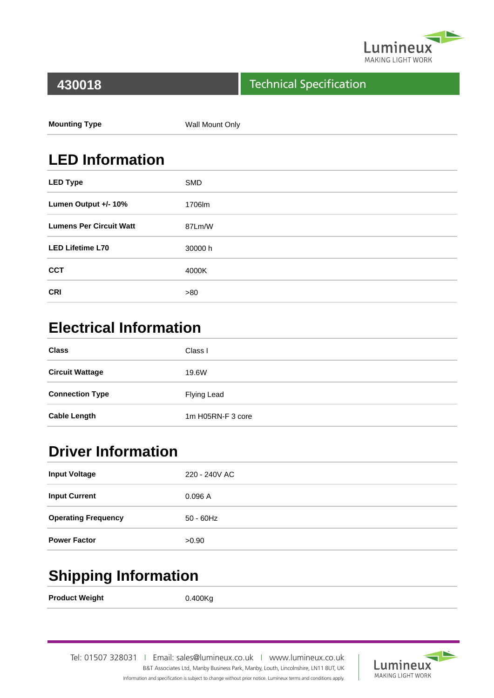

#### Technical Specification

| <b>Mounting Type</b> | Wall Mount Only |
|----------------------|-----------------|
|                      |                 |

# **LED Information**

| <b>LED Type</b>                | <b>SMD</b> |
|--------------------------------|------------|
| Lumen Output +/- 10%           | 1706lm     |
| <b>Lumens Per Circuit Watt</b> | 87Lm/W     |
| <b>LED Lifetime L70</b>        | 30000 h    |
| <b>CCT</b>                     | 4000K      |
| <b>CRI</b>                     | >80        |

# **Electrical Information**

| <b>Class</b>           | Class I           |
|------------------------|-------------------|
| <b>Circuit Wattage</b> | 19.6W             |
| <b>Connection Type</b> | Flying Lead       |
| <b>Cable Length</b>    | 1m H05RN-F 3 core |

### **Driver Information**

| <b>Input Voltage</b>       | 220 - 240V AC |
|----------------------------|---------------|
| <b>Input Current</b>       | 0.096A        |
| <b>Operating Frequency</b> | $50 - 60$ Hz  |
| <b>Power Factor</b>        | >0.90         |

# **Shipping Information**

Product Weight **COMPRESS** 0.400Kg

Tel: 01507 328031IEmail: sales@lumineux.co.ukIwww.lumineux.co.uk B&T Associates Ltd, Manby Business Park, Manby, Louth, Lincolnshire, LN11 8UT, UK Information and specification is subject to change without prior notice. Lumineux terms and conditions apply.

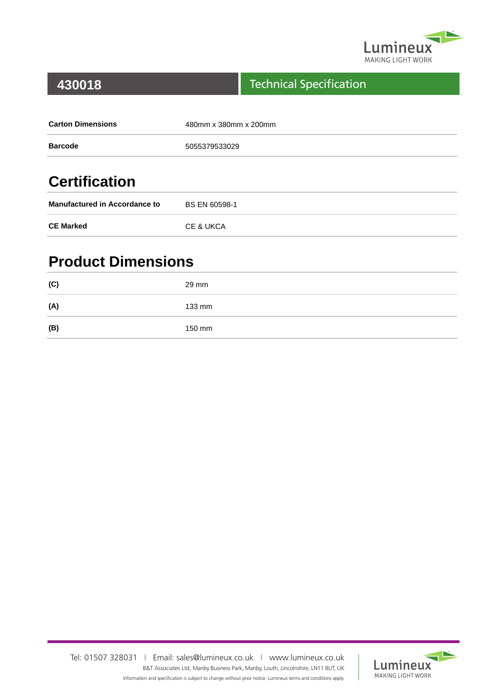

#### Technical Specification

| <b>Carton Dimensions</b> | 480mm x 380mm x 200mm |
|--------------------------|-----------------------|
| <b>Barcode</b>           | 5055379533029         |

# **Certification**

| <b>Manufactured in Accordance to</b> | BS EN 60598-1 |
|--------------------------------------|---------------|
| <b>CE Marked</b>                     | CE & UKCA     |

# **Product Dimensions**

| (C) | 29 mm  |
|-----|--------|
| (A) | 133 mm |
| (B) | 150 mm |